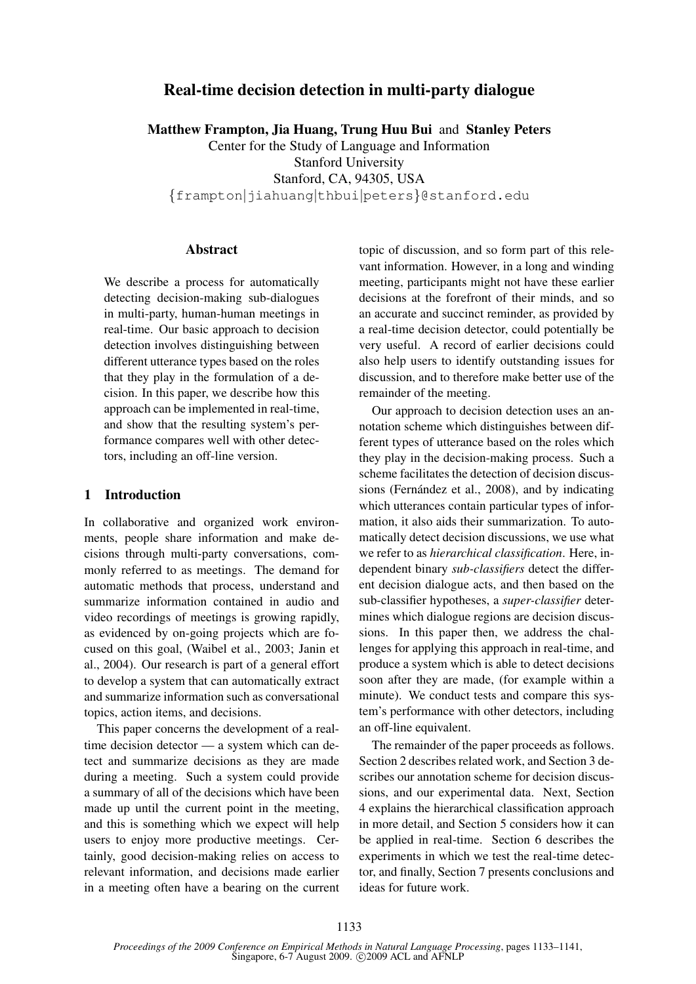# Real-time decision detection in multi-party dialogue

Matthew Frampton, Jia Huang, Trung Huu Bui and Stanley Peters Center for the Study of Language and Information Stanford University Stanford, CA, 94305, USA {frampton|jiahuang|thbui|peters}@stanford.edu

### Abstract

We describe a process for automatically detecting decision-making sub-dialogues in multi-party, human-human meetings in real-time. Our basic approach to decision detection involves distinguishing between different utterance types based on the roles that they play in the formulation of a decision. In this paper, we describe how this approach can be implemented in real-time, and show that the resulting system's performance compares well with other detectors, including an off-line version.

### 1 Introduction

In collaborative and organized work environments, people share information and make decisions through multi-party conversations, commonly referred to as meetings. The demand for automatic methods that process, understand and summarize information contained in audio and video recordings of meetings is growing rapidly, as evidenced by on-going projects which are focused on this goal, (Waibel et al., 2003; Janin et al., 2004). Our research is part of a general effort to develop a system that can automatically extract and summarize information such as conversational topics, action items, and decisions.

This paper concerns the development of a realtime decision detector — a system which can detect and summarize decisions as they are made during a meeting. Such a system could provide a summary of all of the decisions which have been made up until the current point in the meeting, and this is something which we expect will help users to enjoy more productive meetings. Certainly, good decision-making relies on access to relevant information, and decisions made earlier in a meeting often have a bearing on the current topic of discussion, and so form part of this relevant information. However, in a long and winding meeting, participants might not have these earlier decisions at the forefront of their minds, and so an accurate and succinct reminder, as provided by a real-time decision detector, could potentially be very useful. A record of earlier decisions could also help users to identify outstanding issues for discussion, and to therefore make better use of the remainder of the meeting.

Our approach to decision detection uses an annotation scheme which distinguishes between different types of utterance based on the roles which they play in the decision-making process. Such a scheme facilitates the detection of decision discussions (Fernández et al., 2008), and by indicating which utterances contain particular types of information, it also aids their summarization. To automatically detect decision discussions, we use what we refer to as *hierarchical classification*. Here, independent binary *sub-classifiers* detect the different decision dialogue acts, and then based on the sub-classifier hypotheses, a *super-classifier* determines which dialogue regions are decision discussions. In this paper then, we address the challenges for applying this approach in real-time, and produce a system which is able to detect decisions soon after they are made, (for example within a minute). We conduct tests and compare this system's performance with other detectors, including an off-line equivalent.

The remainder of the paper proceeds as follows. Section 2 describes related work, and Section 3 describes our annotation scheme for decision discussions, and our experimental data. Next, Section 4 explains the hierarchical classification approach in more detail, and Section 5 considers how it can be applied in real-time. Section 6 describes the experiments in which we test the real-time detector, and finally, Section 7 presents conclusions and ideas for future work.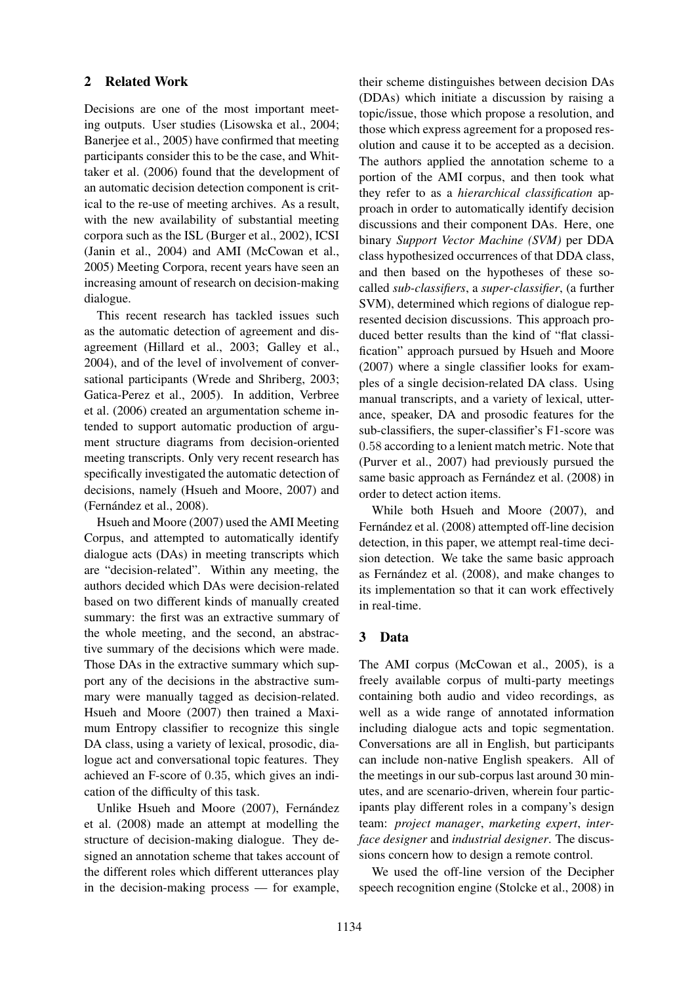### 2 Related Work

Decisions are one of the most important meeting outputs. User studies (Lisowska et al., 2004; Banerjee et al., 2005) have confirmed that meeting participants consider this to be the case, and Whittaker et al. (2006) found that the development of an automatic decision detection component is critical to the re-use of meeting archives. As a result, with the new availability of substantial meeting corpora such as the ISL (Burger et al., 2002), ICSI (Janin et al., 2004) and AMI (McCowan et al., 2005) Meeting Corpora, recent years have seen an increasing amount of research on decision-making dialogue.

This recent research has tackled issues such as the automatic detection of agreement and disagreement (Hillard et al., 2003; Galley et al., 2004), and of the level of involvement of conversational participants (Wrede and Shriberg, 2003; Gatica-Perez et al., 2005). In addition, Verbree et al. (2006) created an argumentation scheme intended to support automatic production of argument structure diagrams from decision-oriented meeting transcripts. Only very recent research has specifically investigated the automatic detection of decisions, namely (Hsueh and Moore, 2007) and (Fernández et al., 2008).

Hsueh and Moore (2007) used the AMI Meeting Corpus, and attempted to automatically identify dialogue acts (DAs) in meeting transcripts which are "decision-related". Within any meeting, the authors decided which DAs were decision-related based on two different kinds of manually created summary: the first was an extractive summary of the whole meeting, and the second, an abstractive summary of the decisions which were made. Those DAs in the extractive summary which support any of the decisions in the abstractive summary were manually tagged as decision-related. Hsueh and Moore (2007) then trained a Maximum Entropy classifier to recognize this single DA class, using a variety of lexical, prosodic, dialogue act and conversational topic features. They achieved an F-score of 0.35, which gives an indication of the difficulty of this task.

Unlike Hsueh and Moore (2007), Fernández et al. (2008) made an attempt at modelling the structure of decision-making dialogue. They designed an annotation scheme that takes account of the different roles which different utterances play in the decision-making process — for example,

their scheme distinguishes between decision DAs (DDAs) which initiate a discussion by raising a topic/issue, those which propose a resolution, and those which express agreement for a proposed resolution and cause it to be accepted as a decision. The authors applied the annotation scheme to a portion of the AMI corpus, and then took what they refer to as a *hierarchical classification* approach in order to automatically identify decision discussions and their component DAs. Here, one binary *Support Vector Machine (SVM)* per DDA class hypothesized occurrences of that DDA class, and then based on the hypotheses of these socalled *sub-classifiers*, a *super-classifier*, (a further SVM), determined which regions of dialogue represented decision discussions. This approach produced better results than the kind of "flat classification" approach pursued by Hsueh and Moore (2007) where a single classifier looks for examples of a single decision-related DA class. Using manual transcripts, and a variety of lexical, utterance, speaker, DA and prosodic features for the sub-classifiers, the super-classifier's F1-score was 0.58 according to a lenient match metric. Note that (Purver et al., 2007) had previously pursued the same basic approach as Fernández et al. (2008) in order to detect action items.

While both Hsueh and Moore (2007), and Fernández et al. (2008) attempted off-line decision detection, in this paper, we attempt real-time decision detection. We take the same basic approach as Fernández et al. (2008), and make changes to its implementation so that it can work effectively in real-time.

## 3 Data

The AMI corpus (McCowan et al., 2005), is a freely available corpus of multi-party meetings containing both audio and video recordings, as well as a wide range of annotated information including dialogue acts and topic segmentation. Conversations are all in English, but participants can include non-native English speakers. All of the meetings in our sub-corpus last around 30 minutes, and are scenario-driven, wherein four participants play different roles in a company's design team: *project manager*, *marketing expert*, *interface designer* and *industrial designer*. The discussions concern how to design a remote control.

We used the off-line version of the Decipher speech recognition engine (Stolcke et al., 2008) in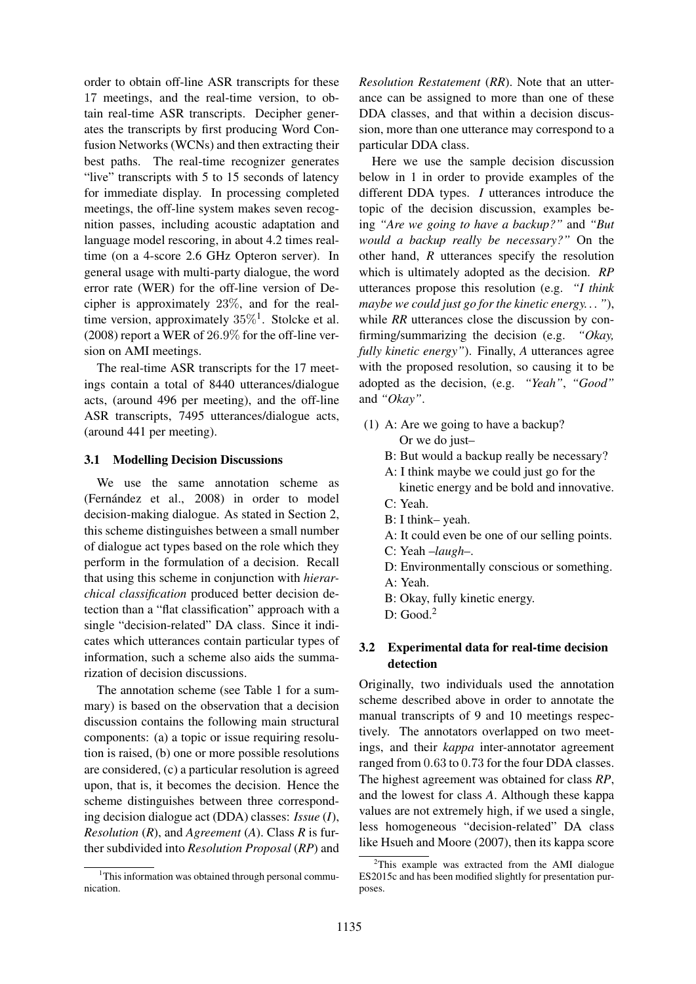order to obtain off-line ASR transcripts for these 17 meetings, and the real-time version, to obtain real-time ASR transcripts. Decipher generates the transcripts by first producing Word Confusion Networks (WCNs) and then extracting their best paths. The real-time recognizer generates "live" transcripts with 5 to 15 seconds of latency for immediate display. In processing completed meetings, the off-line system makes seven recognition passes, including acoustic adaptation and language model rescoring, in about 4.2 times realtime (on a 4-score 2.6 GHz Opteron server). In general usage with multi-party dialogue, the word error rate (WER) for the off-line version of Decipher is approximately 23%, and for the realtime version, approximately  $35\%$ <sup>1</sup>. Stolcke et al. (2008) report a WER of 26.9% for the off-line version on AMI meetings.

The real-time ASR transcripts for the 17 meetings contain a total of 8440 utterances/dialogue acts, (around 496 per meeting), and the off-line ASR transcripts, 7495 utterances/dialogue acts, (around 441 per meeting).

#### 3.1 Modelling Decision Discussions

We use the same annotation scheme as (Fernández et al., 2008) in order to model decision-making dialogue. As stated in Section 2, this scheme distinguishes between a small number of dialogue act types based on the role which they perform in the formulation of a decision. Recall that using this scheme in conjunction with *hierarchical classification* produced better decision detection than a "flat classification" approach with a single "decision-related" DA class. Since it indicates which utterances contain particular types of information, such a scheme also aids the summarization of decision discussions.

The annotation scheme (see Table 1 for a summary) is based on the observation that a decision discussion contains the following main structural components: (a) a topic or issue requiring resolution is raised, (b) one or more possible resolutions are considered, (c) a particular resolution is agreed upon, that is, it becomes the decision. Hence the scheme distinguishes between three corresponding decision dialogue act (DDA) classes: *Issue* (*I*), *Resolution* (*R*), and *Agreement* (*A*). Class *R* is further subdivided into *Resolution Proposal* (*RP*) and *Resolution Restatement* (*RR*). Note that an utterance can be assigned to more than one of these DDA classes, and that within a decision discussion, more than one utterance may correspond to a particular DDA class.

Here we use the sample decision discussion below in 1 in order to provide examples of the different DDA types. *I* utterances introduce the topic of the decision discussion, examples being *"Are we going to have a backup?"* and *"But would a backup really be necessary?"* On the other hand, *R* utterances specify the resolution which is ultimately adopted as the decision. *RP* utterances propose this resolution (e.g. *"I think maybe we could just go for the kinetic energy. . . "*), while *RR* utterances close the discussion by confirming/summarizing the decision (e.g. *"Okay, fully kinetic energy"*). Finally, *A* utterances agree with the proposed resolution, so causing it to be adopted as the decision, (e.g. *"Yeah"*, *"Good"* and *"Okay"*.

- (1) A: Are we going to have a backup? Or we do just–
	- B: But would a backup really be necessary?
	- A: I think maybe we could just go for the kinetic energy and be bold and innovative.
	- C: Yeah.
	- B: I think– yeah.
	- A: It could even be one of our selling points.
	- C: Yeah –*laugh*–.
	- D: Environmentally conscious or something. A: Yeah.
	- B: Okay, fully kinetic energy.
	- $D: Good<sup>2</sup>$

### 3.2 Experimental data for real-time decision detection

Originally, two individuals used the annotation scheme described above in order to annotate the manual transcripts of 9 and 10 meetings respectively. The annotators overlapped on two meetings, and their *kappa* inter-annotator agreement ranged from 0.63 to 0.73 for the four DDA classes. The highest agreement was obtained for class *RP*, and the lowest for class *A*. Although these kappa values are not extremely high, if we used a single, less homogeneous "decision-related" DA class like Hsueh and Moore (2007), then its kappa score

 $1$ This information was obtained through personal communication.

 $2$ This example was extracted from the AMI dialogue ES2015c and has been modified slightly for presentation purposes.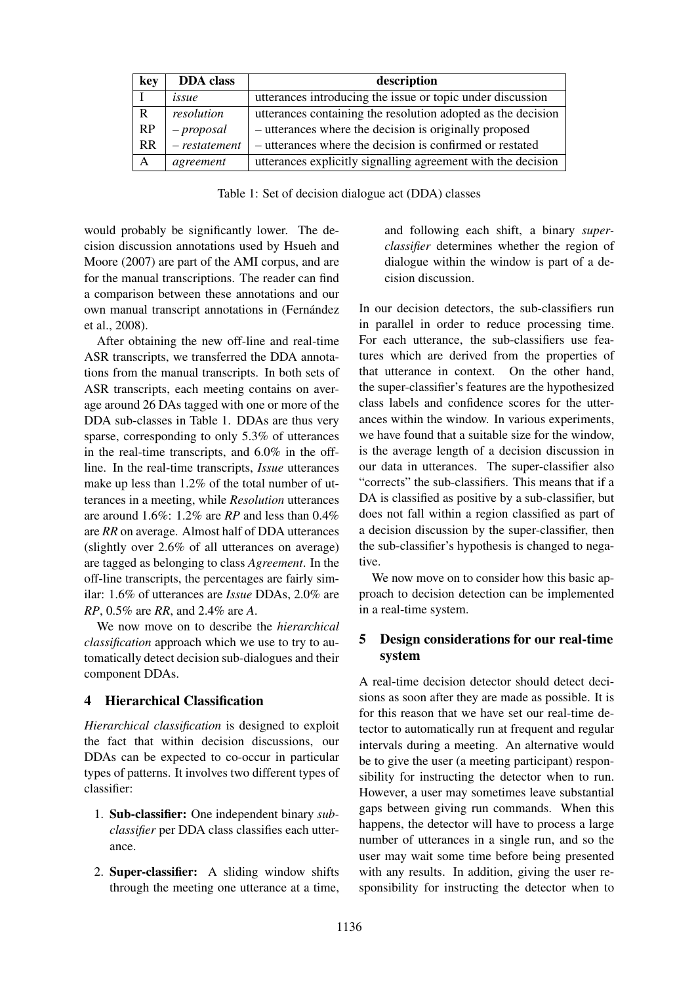| key       | <b>DDA</b> class | description                                                  |  |  |
|-----------|------------------|--------------------------------------------------------------|--|--|
|           | issue            | utterances introducing the issue or topic under discussion   |  |  |
| R         | resolution       | utterances containing the resolution adopted as the decision |  |  |
| RP        | $-proposal$      | - utterances where the decision is originally proposed       |  |  |
| <b>RR</b> | $- restatement$  | - utterances where the decision is confirmed or restated     |  |  |
| A         | agreement        | utterances explicitly signalling agreement with the decision |  |  |

Table 1: Set of decision dialogue act (DDA) classes

would probably be significantly lower. The decision discussion annotations used by Hsueh and Moore (2007) are part of the AMI corpus, and are for the manual transcriptions. The reader can find a comparison between these annotations and our own manual transcript annotations in (Fernández et al., 2008).

After obtaining the new off-line and real-time ASR transcripts, we transferred the DDA annotations from the manual transcripts. In both sets of ASR transcripts, each meeting contains on average around 26 DAs tagged with one or more of the DDA sub-classes in Table 1. DDAs are thus very sparse, corresponding to only 5.3% of utterances in the real-time transcripts, and 6.0% in the offline. In the real-time transcripts, *Issue* utterances make up less than 1.2% of the total number of utterances in a meeting, while *Resolution* utterances are around 1.6%: 1.2% are *RP* and less than 0.4% are *RR* on average. Almost half of DDA utterances (slightly over 2.6% of all utterances on average) are tagged as belonging to class *Agreement*. In the off-line transcripts, the percentages are fairly similar: 1.6% of utterances are *Issue* DDAs, 2.0% are *RP*, 0.5% are *RR*, and 2.4% are *A*.

We now move on to describe the *hierarchical classification* approach which we use to try to automatically detect decision sub-dialogues and their component DDAs.

### 4 Hierarchical Classification

*Hierarchical classification* is designed to exploit the fact that within decision discussions, our DDAs can be expected to co-occur in particular types of patterns. It involves two different types of classifier:

- 1. Sub-classifier: One independent binary *subclassifier* per DDA class classifies each utterance.
- 2. Super-classifier: A sliding window shifts through the meeting one utterance at a time,

and following each shift, a binary *superclassifier* determines whether the region of dialogue within the window is part of a decision discussion.

In our decision detectors, the sub-classifiers run in parallel in order to reduce processing time. For each utterance, the sub-classifiers use features which are derived from the properties of that utterance in context. On the other hand, the super-classifier's features are the hypothesized class labels and confidence scores for the utterances within the window. In various experiments, we have found that a suitable size for the window, is the average length of a decision discussion in our data in utterances. The super-classifier also "corrects" the sub-classifiers. This means that if a DA is classified as positive by a sub-classifier, but does not fall within a region classified as part of a decision discussion by the super-classifier, then the sub-classifier's hypothesis is changed to negative.

We now move on to consider how this basic approach to decision detection can be implemented in a real-time system.

# 5 Design considerations for our real-time system

A real-time decision detector should detect decisions as soon after they are made as possible. It is for this reason that we have set our real-time detector to automatically run at frequent and regular intervals during a meeting. An alternative would be to give the user (a meeting participant) responsibility for instructing the detector when to run. However, a user may sometimes leave substantial gaps between giving run commands. When this happens, the detector will have to process a large number of utterances in a single run, and so the user may wait some time before being presented with any results. In addition, giving the user responsibility for instructing the detector when to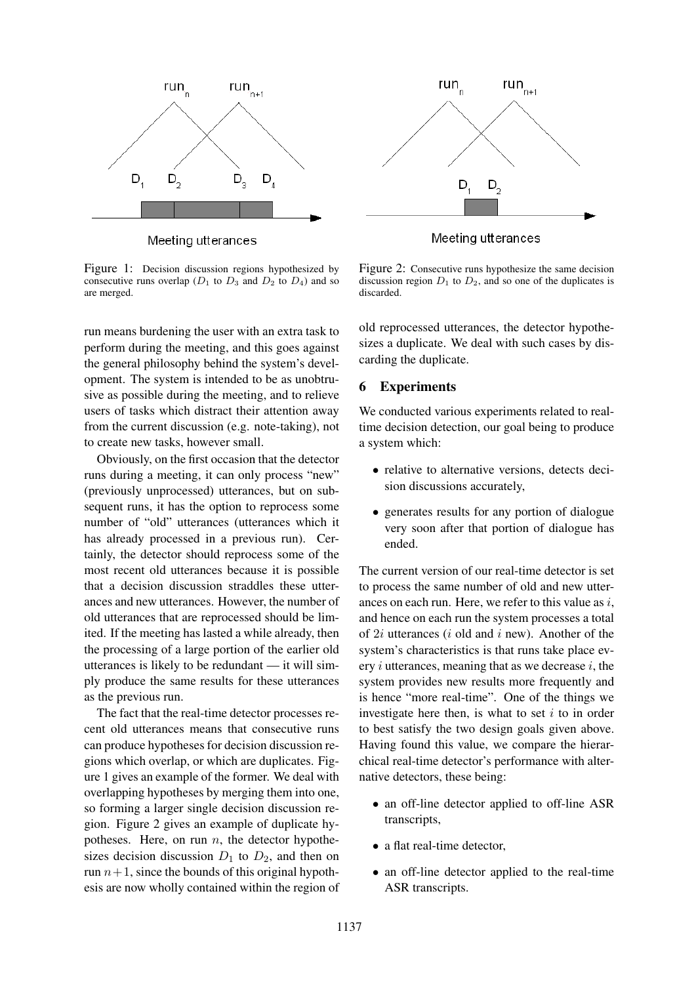

Meeting utterances

Figure 1: Decision discussion regions hypothesized by consecutive runs overlap ( $D_1$  to  $D_3$  and  $D_2$  to  $D_4$ ) and so are merged.

run means burdening the user with an extra task to perform during the meeting, and this goes against the general philosophy behind the system's development. The system is intended to be as unobtrusive as possible during the meeting, and to relieve users of tasks which distract their attention away from the current discussion (e.g. note-taking), not to create new tasks, however small.

Obviously, on the first occasion that the detector runs during a meeting, it can only process "new" (previously unprocessed) utterances, but on subsequent runs, it has the option to reprocess some number of "old" utterances (utterances which it has already processed in a previous run). Certainly, the detector should reprocess some of the most recent old utterances because it is possible that a decision discussion straddles these utterances and new utterances. However, the number of old utterances that are reprocessed should be limited. If the meeting has lasted a while already, then the processing of a large portion of the earlier old utterances is likely to be redundant — it will simply produce the same results for these utterances as the previous run.

The fact that the real-time detector processes recent old utterances means that consecutive runs can produce hypotheses for decision discussion regions which overlap, or which are duplicates. Figure 1 gives an example of the former. We deal with overlapping hypotheses by merging them into one, so forming a larger single decision discussion region. Figure 2 gives an example of duplicate hypotheses. Here, on run  $n$ , the detector hypothesizes decision discussion  $D_1$  to  $D_2$ , and then on run  $n+1$ , since the bounds of this original hypothesis are now wholly contained within the region of



Meeting utterances

Figure 2: Consecutive runs hypothesize the same decision discussion region  $D_1$  to  $D_2$ , and so one of the duplicates is discarded.

old reprocessed utterances, the detector hypothesizes a duplicate. We deal with such cases by discarding the duplicate.

#### 6 Experiments

We conducted various experiments related to realtime decision detection, our goal being to produce a system which:

- relative to alternative versions, detects decision discussions accurately,
- generates results for any portion of dialogue very soon after that portion of dialogue has ended.

The current version of our real-time detector is set to process the same number of old and new utterances on each run. Here, we refer to this value as  $i$ , and hence on each run the system processes a total of  $2i$  utterances (*i* old and *i* new). Another of the system's characteristics is that runs take place every  $i$  utterances, meaning that as we decrease  $i$ , the system provides new results more frequently and is hence "more real-time". One of the things we investigate here then, is what to set  $i$  to in order to best satisfy the two design goals given above. Having found this value, we compare the hierarchical real-time detector's performance with alternative detectors, these being:

- an off-line detector applied to off-line ASR transcripts,
- a flat real-time detector,
- an off-line detector applied to the real-time ASR transcripts.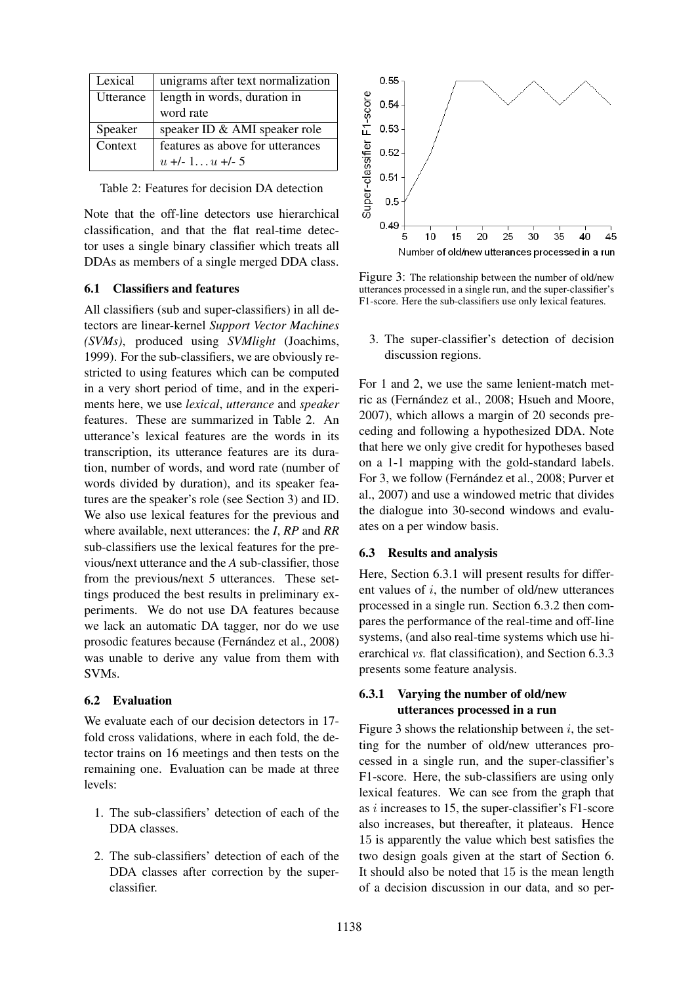| Lexical   | unigrams after text normalization |  |  |
|-----------|-----------------------------------|--|--|
| Utterance | length in words, duration in      |  |  |
|           | word rate                         |  |  |
| Speaker   | speaker ID & AMI speaker role     |  |  |
| Context   | features as above for utterances  |  |  |
|           | $u +1$ - 1 $u +1$ - 5             |  |  |

Table 2: Features for decision DA detection

Note that the off-line detectors use hierarchical classification, and that the flat real-time detector uses a single binary classifier which treats all DDAs as members of a single merged DDA class.

#### 6.1 Classifiers and features

All classifiers (sub and super-classifiers) in all detectors are linear-kernel *Support Vector Machines (SVMs)*, produced using *SVMlight* (Joachims, 1999). For the sub-classifiers, we are obviously restricted to using features which can be computed in a very short period of time, and in the experiments here, we use *lexical*, *utterance* and *speaker* features. These are summarized in Table 2. An utterance's lexical features are the words in its transcription, its utterance features are its duration, number of words, and word rate (number of words divided by duration), and its speaker features are the speaker's role (see Section 3) and ID. We also use lexical features for the previous and where available, next utterances: the *I*, *RP* and *RR* sub-classifiers use the lexical features for the previous/next utterance and the *A* sub-classifier, those from the previous/next 5 utterances. These settings produced the best results in preliminary experiments. We do not use DA features because we lack an automatic DA tagger, nor do we use prosodic features because (Fernández et al., 2008) was unable to derive any value from them with SVMs.

#### 6.2 Evaluation

We evaluate each of our decision detectors in 17 fold cross validations, where in each fold, the detector trains on 16 meetings and then tests on the remaining one. Evaluation can be made at three levels:

- 1. The sub-classifiers' detection of each of the DDA classes.
- 2. The sub-classifiers' detection of each of the DDA classes after correction by the superclassifier.



Figure 3: The relationship between the number of old/new utterances processed in a single run, and the super-classifier's F1-score. Here the sub-classifiers use only lexical features.

3. The super-classifier's detection of decision discussion regions.

For 1 and 2, we use the same lenient-match metric as (Fernández et al., 2008; Hsueh and Moore, 2007), which allows a margin of 20 seconds preceding and following a hypothesized DDA. Note that here we only give credit for hypotheses based on a 1-1 mapping with the gold-standard labels. For 3, we follow (Fernández et al., 2008; Purver et al., 2007) and use a windowed metric that divides the dialogue into 30-second windows and evaluates on a per window basis.

#### 6.3 Results and analysis

Here, Section 6.3.1 will present results for different values of  $i$ , the number of old/new utterances processed in a single run. Section 6.3.2 then compares the performance of the real-time and off-line systems, (and also real-time systems which use hierarchical *vs.* flat classification), and Section 6.3.3 presents some feature analysis.

### 6.3.1 Varying the number of old/new utterances processed in a run

Figure 3 shows the relationship between  $i$ , the setting for the number of old/new utterances processed in a single run, and the super-classifier's F1-score. Here, the sub-classifiers are using only lexical features. We can see from the graph that as i increases to 15, the super-classifier's F1-score also increases, but thereafter, it plateaus. Hence 15 is apparently the value which best satisfies the two design goals given at the start of Section 6. It should also be noted that 15 is the mean length of a decision discussion in our data, and so per-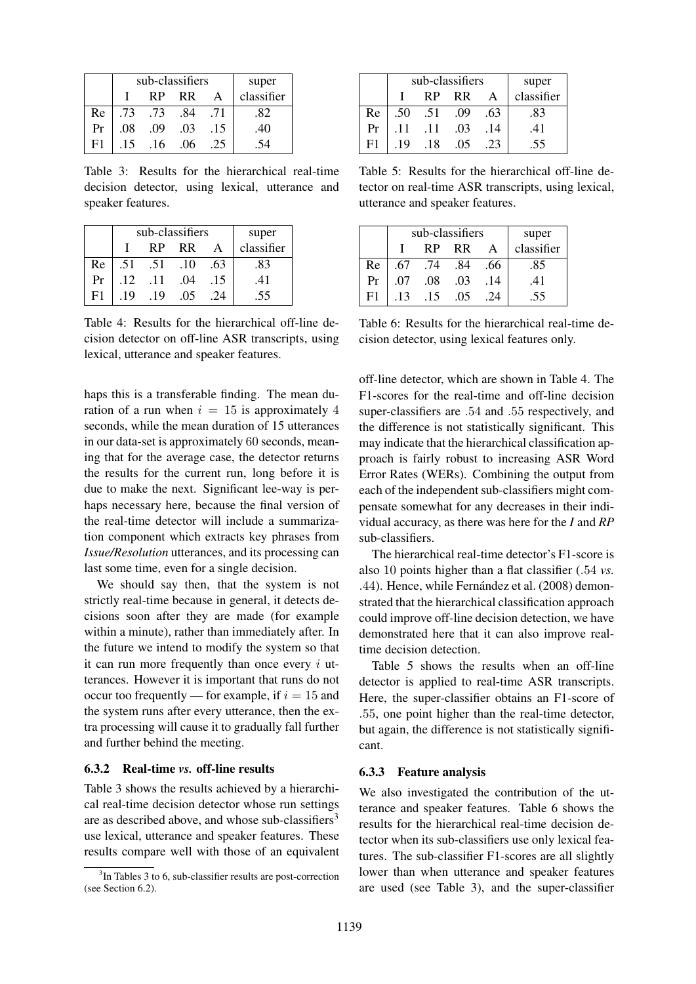|    |     | sub-classifiers | super     |     |            |
|----|-----|-----------------|-----------|-----|------------|
|    |     | <b>RP</b>       | <b>RR</b> | A   | classifier |
| Re | .73 | .73             | .84       | .71 | .82        |
| Pr | .08 | .09             | .03       | .15 | .40        |
| Е1 | .15 | .16             | .06       | .25 |            |

Table 3: Results for the hierarchical real-time decision detector, using lexical, utterance and speaker features.

|    |     | sub-classifiers | super |     |            |
|----|-----|-----------------|-------|-----|------------|
|    |     | <b>RP</b>       | RR    |     | classifier |
| Re | .51 | .51             | .10   | .63 | .83        |
| Pr | .12 | .11             | .04   | .15 | .41        |
| F1 | .19 | -19             | .05   | 24  | .55        |

Table 4: Results for the hierarchical off-line decision detector on off-line ASR transcripts, using lexical, utterance and speaker features.

haps this is a transferable finding. The mean duration of a run when  $i = 15$  is approximately 4 seconds, while the mean duration of 15 utterances in our data-set is approximately 60 seconds, meaning that for the average case, the detector returns the results for the current run, long before it is due to make the next. Significant lee-way is perhaps necessary here, because the final version of the real-time detector will include a summarization component which extracts key phrases from *Issue/Resolution* utterances, and its processing can last some time, even for a single decision.

We should say then, that the system is not strictly real-time because in general, it detects decisions soon after they are made (for example within a minute), rather than immediately after. In the future we intend to modify the system so that it can run more frequently than once every  $i$  utterances. However it is important that runs do not occur too frequently — for example, if  $i = 15$  and the system runs after every utterance, then the extra processing will cause it to gradually fall further and further behind the meeting.

#### 6.3.2 Real-time *vs.* off-line results

Table 3 shows the results achieved by a hierarchical real-time decision detector whose run settings are as described above, and whose sub-classifiers<sup>3</sup> use lexical, utterance and speaker features. These results compare well with those of an equivalent

|    |     | sub-classifiers | super     |              |            |
|----|-----|-----------------|-----------|--------------|------------|
|    |     | <b>RP</b>       | <b>RR</b> | $\mathsf{A}$ | classifier |
| Re | .50 | .51             | .09       | .63          | .83        |
| Pr | .11 | .11             | .03       | .14          | .41        |
| F1 | .19 | .18             | .05       | .23          | .55        |

Table 5: Results for the hierarchical off-line detector on real-time ASR transcripts, using lexical, utterance and speaker features.

|    |     | sub-classifiers | super     |              |            |
|----|-----|-----------------|-----------|--------------|------------|
|    |     | <b>RP</b>       | <b>RR</b> | $\mathsf{A}$ | classifier |
| Re | .67 | .74             | .84       | .66          | .85        |
| Pr | .07 | .08             | .03       | .14          | .41        |
| F1 | -13 | -15             | .05       | 24           | .55        |

Table 6: Results for the hierarchical real-time decision detector, using lexical features only.

off-line detector, which are shown in Table 4. The F1-scores for the real-time and off-line decision super-classifiers are .54 and .55 respectively, and the difference is not statistically significant. This may indicate that the hierarchical classification approach is fairly robust to increasing ASR Word Error Rates (WERs). Combining the output from each of the independent sub-classifiers might compensate somewhat for any decreases in their individual accuracy, as there was here for the *I* and *RP* sub-classifiers.

The hierarchical real-time detector's F1-score is also 10 points higher than a flat classifier (.54 *vs.* .44). Hence, while Fernández et al. (2008) demonstrated that the hierarchical classification approach could improve off-line decision detection, we have demonstrated here that it can also improve realtime decision detection.

Table 5 shows the results when an off-line detector is applied to real-time ASR transcripts. Here, the super-classifier obtains an F1-score of .55, one point higher than the real-time detector, but again, the difference is not statistically significant.

#### 6.3.3 Feature analysis

We also investigated the contribution of the utterance and speaker features. Table 6 shows the results for the hierarchical real-time decision detector when its sub-classifiers use only lexical features. The sub-classifier F1-scores are all slightly lower than when utterance and speaker features are used (see Table 3), and the super-classifier

<sup>&</sup>lt;sup>3</sup>In Tables 3 to 6, sub-classifier results are post-correction (see Section 6.2).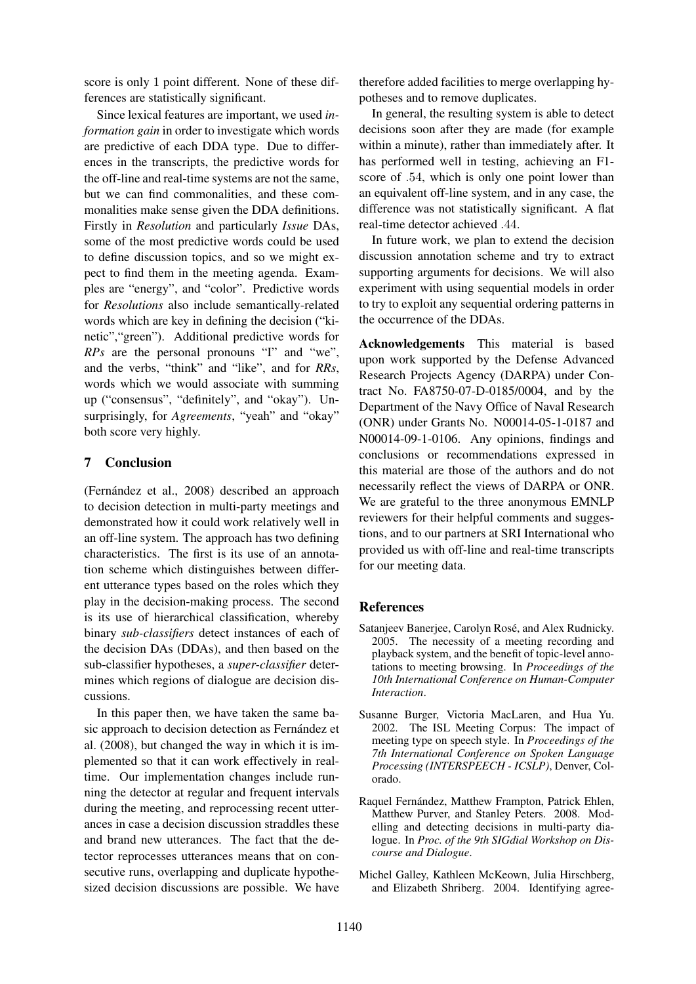score is only 1 point different. None of these differences are statistically significant.

Since lexical features are important, we used *information gain* in order to investigate which words are predictive of each DDA type. Due to differences in the transcripts, the predictive words for the off-line and real-time systems are not the same, but we can find commonalities, and these commonalities make sense given the DDA definitions. Firstly in *Resolution* and particularly *Issue* DAs, some of the most predictive words could be used to define discussion topics, and so we might expect to find them in the meeting agenda. Examples are "energy", and "color". Predictive words for *Resolutions* also include semantically-related words which are key in defining the decision ("kinetic","green"). Additional predictive words for *RPs* are the personal pronouns "I" and "we", and the verbs, "think" and "like", and for *RRs*, words which we would associate with summing up ("consensus", "definitely", and "okay"). Unsurprisingly, for *Agreements*, "yeah" and "okay" both score very highly.

## 7 Conclusion

(Fernández et al., 2008) described an approach to decision detection in multi-party meetings and demonstrated how it could work relatively well in an off-line system. The approach has two defining characteristics. The first is its use of an annotation scheme which distinguishes between different utterance types based on the roles which they play in the decision-making process. The second is its use of hierarchical classification, whereby binary *sub-classifiers* detect instances of each of the decision DAs (DDAs), and then based on the sub-classifier hypotheses, a *super-classifier* determines which regions of dialogue are decision discussions.

In this paper then, we have taken the same basic approach to decision detection as Fernández et al. (2008), but changed the way in which it is implemented so that it can work effectively in realtime. Our implementation changes include running the detector at regular and frequent intervals during the meeting, and reprocessing recent utterances in case a decision discussion straddles these and brand new utterances. The fact that the detector reprocesses utterances means that on consecutive runs, overlapping and duplicate hypothesized decision discussions are possible. We have therefore added facilities to merge overlapping hypotheses and to remove duplicates.

In general, the resulting system is able to detect decisions soon after they are made (for example within a minute), rather than immediately after. It has performed well in testing, achieving an F1 score of .54, which is only one point lower than an equivalent off-line system, and in any case, the difference was not statistically significant. A flat real-time detector achieved .44.

In future work, we plan to extend the decision discussion annotation scheme and try to extract supporting arguments for decisions. We will also experiment with using sequential models in order to try to exploit any sequential ordering patterns in the occurrence of the DDAs.

Acknowledgements This material is based upon work supported by the Defense Advanced Research Projects Agency (DARPA) under Contract No. FA8750-07-D-0185/0004, and by the Department of the Navy Office of Naval Research (ONR) under Grants No. N00014-05-1-0187 and N00014-09-1-0106. Any opinions, findings and conclusions or recommendations expressed in this material are those of the authors and do not necessarily reflect the views of DARPA or ONR. We are grateful to the three anonymous EMNLP reviewers for their helpful comments and suggestions, and to our partners at SRI International who provided us with off-line and real-time transcripts for our meeting data.

### **References**

- Satanjeev Banerjee, Carolyn Rosé, and Alex Rudnicky. 2005. The necessity of a meeting recording and playback system, and the benefit of topic-level annotations to meeting browsing. In *Proceedings of the 10th International Conference on Human-Computer Interaction*.
- Susanne Burger, Victoria MacLaren, and Hua Yu. 2002. The ISL Meeting Corpus: The impact of meeting type on speech style. In *Proceedings of the 7th International Conference on Spoken Language Processing (INTERSPEECH - ICSLP)*, Denver, Colorado.
- Raquel Fernández, Matthew Frampton, Patrick Ehlen, Matthew Purver, and Stanley Peters. 2008. Modelling and detecting decisions in multi-party dialogue. In *Proc. of the 9th SIGdial Workshop on Discourse and Dialogue*.
- Michel Galley, Kathleen McKeown, Julia Hirschberg, and Elizabeth Shriberg. 2004. Identifying agree-